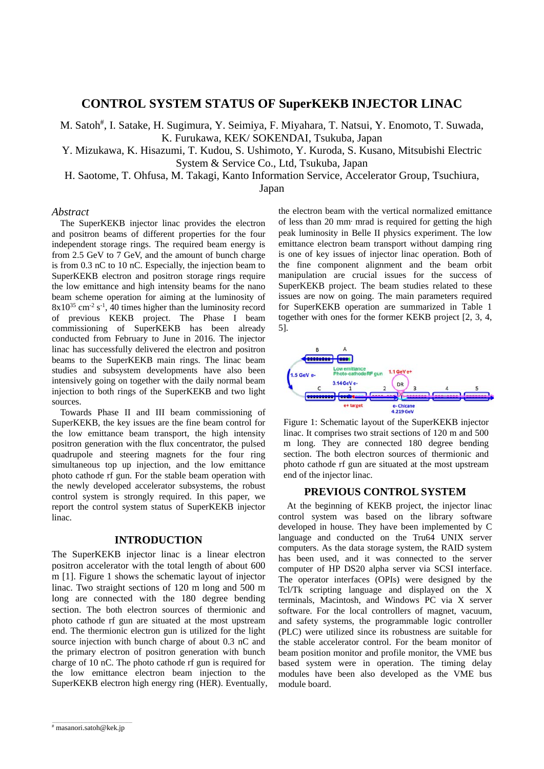# **CONTROL SYSTEM STATUS OF SuperKEKB INJECTOR LINAC**

M. Satoh<sup>#</sup>, I. Satake, H. Sugimura, Y. Seimiya, F. Miyahara, T. Natsui, Y. Enomoto, T. Suwada, K. Furukawa, KEK/ SOKENDAI, Tsukuba, Japan

Y. Mizukawa, K. Hisazumi, T. Kudou, S. Ushimoto, Y. Kuroda, S. Kusano, Mitsubishi Electric System & Service Co., Ltd, Tsukuba, Japan

H. Saotome, T. Ohfusa, M. Takagi, Kanto Information Service, Accelerator Group, Tsuchiura,

Japan

#### *Abstract*

The SuperKEKB injector linac provides the electron and positron beams of different properties for the four independent storage rings. The required beam energy is from 2.5 GeV to 7 GeV, and the amount of bunch charge is from 0.3 nC to 10 nC. Especially, the injection beam to SuperKEKB electron and positron storage rings require the low emittance and high intensity beams for the nano beam scheme operation for aiming at the luminosity of  $8x10^{35}$  cm<sup>-2</sup> s<sup>-1</sup>, 40 times higher than the luminosity record of previous KEKB project. The Phase I beam commissioning of SuperKEKB has been already conducted from February to June in 2016. The injector linac has successfully delivered the electron and positron beams to the SuperKEKB main rings. The linac beam studies and subsystem developments have also been intensively going on together with the daily normal beam injection to both rings of the SuperKEKB and two light sources.

Towards Phase II and III beam commissioning of SuperKEKB, the key issues are the fine beam control for the low emittance beam transport, the high intensity positron generation with the flux concentrator, the pulsed quadrupole and steering magnets for the four ring simultaneous top up injection, and the low emittance photo cathode rf gun. For the stable beam operation with the newly developed accelerator subsystems, the robust control system is strongly required. In this paper, we report the control system status of SuperKEKB injector linac.

#### **INTRODUCTION**

The SuperKEKB injector linac is a linear electron positron accelerator with the total length of about 600 m [1]. Figure 1 shows the schematic layout of injector linac. Two straight sections of 120 m long and 500 m long are connected with the 180 degree bending section. The both electron sources of thermionic and photo cathode rf gun are situated at the most upstream end. The thermionic electron gun is utilized for the light source injection with bunch charge of about 0.3 nC and the primary electron of positron generation with bunch charge of 10 nC. The photo cathode rf gun is required for the low emittance electron beam injection to the SuperKEKB electron high energy ring (HER). Eventually,

the electron beam with the vertical normalized emittance of less than 20 mm·mrad is required for getting the high peak luminosity in Belle II physics experiment. The low emittance electron beam transport without damping ring is one of key issues of injector linac operation. Both of the fine component alignment and the beam orbit manipulation are crucial issues for the success of SuperKEKB project. The beam studies related to these issues are now on going. The main parameters required for SuperKEKB operation are summarized in Table 1 together with ones for the former KEKB project [2, 3, 4, 5].



Figure 1: Schematic layout of the SuperKEKB injector linac. It comprises two strait sections of 120 m and 500 m long. They are connected 180 degree bending section. The both electron sources of thermionic and photo cathode rf gun are situated at the most upstream end of the injector linac.

#### **PREVIOUS CONTROL SYSTEM**

At the beginning of KEKB project, the injector linac control system was based on the library software developed in house. They have been implemented by C language and conducted on the Tru64 UNIX server computers. As the data storage system, the RAID system has been used, and it was connected to the server computer of HP DS20 alpha server via SCSI interface. The operator interfaces (OPIs) were designed by the Tcl/Tk scripting language and displayed on the X terminals, Macintosh, and Windows PC via X server software. For the local controllers of magnet, vacuum, and safety systems, the programmable logic controller (PLC) were utilized since its robustness are suitable for the stable accelerator control. For the beam monitor of beam position monitor and profile monitor, the VME bus based system were in operation. The timing delay modules have been also developed as the VME bus module board.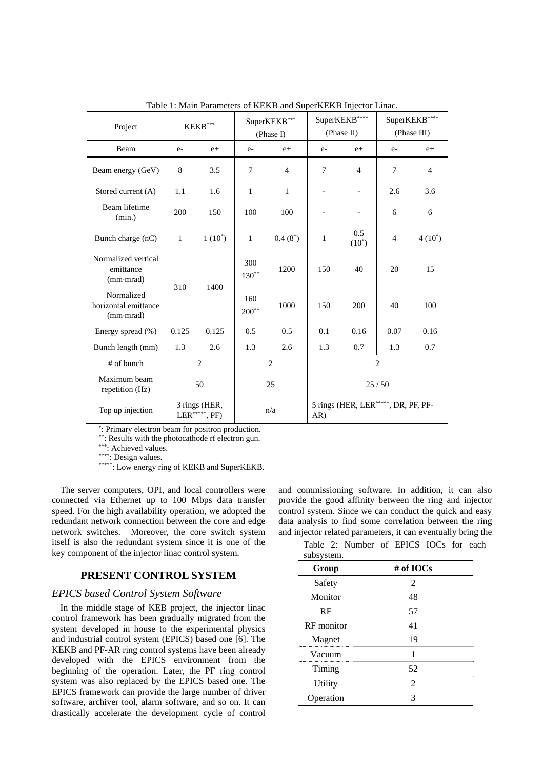| Project                                         | $\mbox{KEKB}^{***}$                 |             | SuperKEKB***<br>(Phase I) |                | SuperKEKB****<br>(Phase II)                             |                 | SuperKEKB****<br>(Phase III) |                |
|-------------------------------------------------|-------------------------------------|-------------|---------------------------|----------------|---------------------------------------------------------|-----------------|------------------------------|----------------|
| Beam                                            | $e-$                                | $e+$        | $e-$                      | $e+$           | $e-$                                                    | $e+$            | $e-$                         | $e+$           |
| Beam energy (GeV)                               | 8                                   | 3.5         | 7                         | $\overline{4}$ | 7                                                       | $\overline{4}$  | $\tau$                       | $\overline{4}$ |
| Stored current (A)                              | 1.1                                 | 1.6         | $\mathbf{1}$              | $\mathbf{1}$   |                                                         |                 | 2.6                          | 3.6            |
| Beam lifetime<br>(min.)                         | 200                                 | 150         | 100                       | 100            |                                                         |                 | 6                            | 6              |
| Bunch charge (nC)                               | $\mathbf{1}$                        | $1(10^*)$   | $\mathbf{1}$              | $0.4(8^*)$     | 1                                                       | 0.5<br>$(10^*)$ | $\overline{4}$               | $4(10^*)$      |
| Normalized vertical<br>emittance<br>(mm·mrad)   |                                     | 310<br>1400 | 300<br>$130^{**}$         | 1200           | 150                                                     | 40              | 20                           | 15             |
| Normalized<br>horizontal emittance<br>(mm·mrad) |                                     |             | 160<br>$200**$            | 1000           | 150                                                     | 200             | 40                           | 100            |
| Energy spread (%)                               | 0.125                               | 0.125       | 0.5                       | 0.5            | 0.1                                                     | 0.16            | 0.07                         | 0.16           |
| Bunch length (mm)                               | 1.3                                 | 2.6         | 1.3                       | 2.6            | 1.3                                                     | 0.7             | 1.3                          | 0.7            |
| # of bunch                                      | $\overline{2}$                      |             | $\overline{c}$            |                | $\overline{2}$                                          |                 |                              |                |
| Maximum beam<br>repetition (Hz)                 | 50                                  |             | 25                        |                | 25/50                                                   |                 |                              |                |
| Top up injection                                | 3 rings (HER,<br>$LER^{****}$ , PF) |             | n/a                       |                | 5 rings (HER, LER <sup>*****</sup> , DR, PF, PF-<br>AR) |                 |                              |                |

Table 1: Main Parameters of KEKB and SuperKEKB Injector Linac.

\*: Primary electron beam for positron production.

\*\*: Results with the photocathode rf electron gun.<br>\*\*\*: Achieved values.

\*\*\*\*: Design values.<br>\*\*\*\*\*: Low energy ring of KEKB and SuperKEKB.

The server computers, OPI, and local controllers were connected via Ethernet up to 100 Mbps data transfer speed. For the high availability operation, we adopted the redundant network connection between the core and edge network switches. Moreover, the core switch system itself is also the redundant system since it is one of the key component of the injector linac control system.

# **PRESENT CONTROL SYSTEM**

### *EPICS based Control System Software*

In the middle stage of KEB project, the injector linac control framework has been gradually migrated from the system developed in house to the experimental physics and industrial control system (EPICS) based one [6]. The KEKB and PF-AR ring control systems have been already developed with the EPICS environment from the beginning of the operation. Later, the PF ring control system was also replaced by the EPICS based one. The EPICS framework can provide the large number of driver software, archiver tool, alarm software, and so on. It can drastically accelerate the development cycle of control

and commissioning software. In addition, it can also provide the good affinity between the ring and injector control system. Since we can conduct the quick and easy data analysis to find some correlation between the ring and injector related parameters, it can eventually bring the

Table 2: Number of EPICS IOCs for each subsystem.

| Group       | # of IOCs      |  |
|-------------|----------------|--|
| Safety      | 2              |  |
| Monitor     | 48             |  |
| RF          | 57             |  |
| RF monitor  | 41             |  |
| Magnet      | 19             |  |
| Vacuum      | 1              |  |
| Timing      | 52             |  |
| Utility<br> | $\mathfrak{D}$ |  |
| Operation   | 3              |  |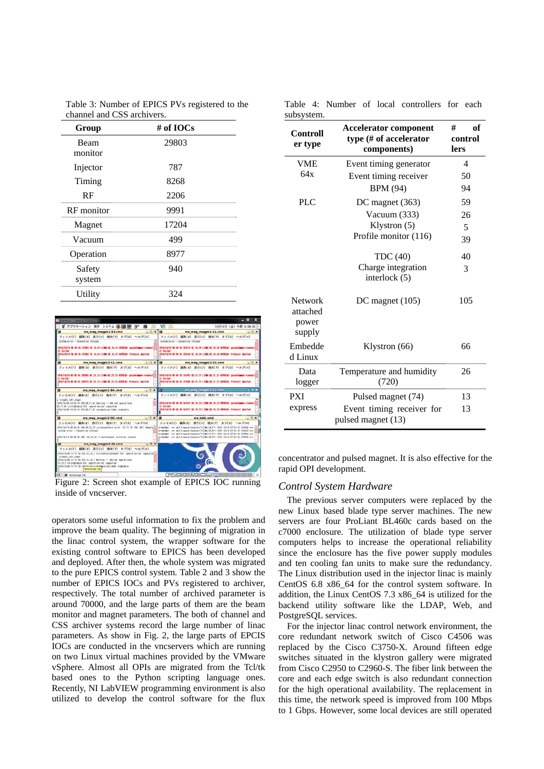| Group            | # of $IOCs$ |  |
|------------------|-------------|--|
| Beam<br>monitor  | 29803       |  |
| Injector         | 787         |  |
| Timing           | 8268        |  |
| RF               | 2206        |  |
| RF monitor       | 9991        |  |
| Magnet           | 17204       |  |
| Vacuum           | 499         |  |
| Operation        | 8977        |  |
| Safety<br>system | 940         |  |
| Utility          | 324         |  |

| Table 3: Number of EPICS PVs registered to the |  |
|------------------------------------------------|--|
| channel and CSS archivers.                     |  |

|                         | ■ アブリケーション 浦州 システム ● 国 聞 理                                                                                                                                                                                                                                                                                                                                  | $V2 \n\equiv$ |                                                                                                                                                                                                                                                                                                                                                                                      | 10月10日 (金) 午前 8:08:05 - |
|-------------------------|-------------------------------------------------------------------------------------------------------------------------------------------------------------------------------------------------------------------------------------------------------------------------------------------------------------------------------------------------------------|---------------|--------------------------------------------------------------------------------------------------------------------------------------------------------------------------------------------------------------------------------------------------------------------------------------------------------------------------------------------------------------------------------------|-------------------------|
|                         | ms_mag_magpic1-83.cmd = C x = ms_mag_magpic1-C1.cmd = C x                                                                                                                                                                                                                                                                                                   |               |                                                                                                                                                                                                                                                                                                                                                                                      |                         |
| O failed:               | ファイル(F) 編集(E) 表示(V) 端末(T) タブ(B) ヘルプ(H)<br>pustes error - Connection refuned<br>104/10/10 80:00:05 2000% (E.16.41 LEBS-IE.16.41-00%EA) payofizies = connect<br>2014/10/10 00:00:05 205062 0F.16.41 LEWI-DF.16.41-007800- Protocol aborted<br>ms_mag_magpic2-C1.cmd and x and x and ms_mag_magpic2-D1.cmd and x and<br>ファイル(F) 編集(E) 表示(V) 請末(T) タブ(B) ヘルプ(H) | O Tail lost   | ファイル(F) 編集(E) 表示(V) 端末(T) タブ(B) ヘルプ(H)<br>system arror - Connection refuned<br>2014/16/10 80:00:00 00:00134 0F.10.24 LEMS 0F.10.24 0376 AD paradisem-terrent<br>PERSONAL BOOK ON THESE OF 15 SA LINE OF 15 SA CONTACT Professi about of<br>ファイル(F) 編集(E) 表示(V) 請末(T) タブ(B) ヘルプ(H)                                                                                                    |                         |
| D. Eastled:             | 914/18/18 85 85 85 205833 8F.23.13 LEWI-8F.23.13 031610 payerCommer-Scenect<br>014/10/10 80-80-85 205/05 0F:23,13 LT366-0F:23,13-0076EAD Protocol aborted                                                                                                                                                                                                   | O failled     | 2014/19/18 05:05:05:06/01:05:21:21:11:08:03:21:21:007690 passedness-research<br>2014/15/19 80:00:05 319505 80:21:21 ET366 40:21:21 0039000 Protocol aborted                                                                                                                                                                                                                          |                         |
|                         |                                                                                                                                                                                                                                                                                                                                                             |               |                                                                                                                                                                                                                                                                                                                                                                                      |                         |
| d -loreate, intr.chard- | ファイル(F) 編集(E) 表示(V) 諸末(T) タブ(B) へルブ(H)<br>2014/10/35 14:51-29.205 00.17.41 Barning -- 590 not operational<br>00.17.41 vuilledings) Wil: concelion not supported<br>elder@rxz.nbbat.log/displaces.f9.17.41 april 10.16.91 08101141010                                                                                                                        | O. failed:    | ファイル(F) 編集(E) 表示(V) 請末(T) タブ(B) ヘルブ(H)<br>2014/15/10:00:00:00.04.5V/102.00.20.23.11366.00.33.23.00/9EAU-.com/disease-3connect<br>2014/18/18 80:00:00 20:10:20 LEWI-00:10:23 OPTEAD: Protocol aborted                                                                                                                                                                                 |                         |
|                         | <b>EXAMPLE 2020 IN 1999 Manager 2-D 2-Manager 2-D 2-Manager 2-Manager 2-Manager 2-Manager 2-Manager 2-Manager 2-Manager 2-Manager 2-Manager 2-Manager 2-Manager 2-Manager 2-Manager 2-Manager 2-Manager 2-Manager 2-Manager 2-Ma</b>                                                                                                                        |               |                                                                                                                                                                                                                                                                                                                                                                                      |                         |
|                         | ファイル(F) 編集(E) 表示(V) 請末(T) タブ(B) へルプ(H)<br>2014/10/10 80:80:05.005 00.22.32 vs:itonnectPort error 172.19.75.194 RPC Renote<br>system error - Connection refused<br>2014/16/18 88:05:05:005 30.22.32 -1 autoConnect could not connect<br>ms mag magpic2-A1.cmd = DX                                                                                           |               | ファイル(F) 編集(E) 表示(V) 請末(T) タブ(B) ヘルプ(H)<br>drvNetWof: ere mpf.timeout.hondler("LIBMG-ZAJF")-2014.10/18 07:50-32.120590 eee<br>drvNefMpf: eee mpf.timacut.handler("LT3MG-20.R") (2014.10/18.07.50-32.124532.eee<br>druNetWol. eve mpf.finecud.handler("L13MG-1C-F") (2014-10/18 07-54-00-122554 eve<br>drvNetWof: *** Nof.1imonat.hondler("LIDMG-20.R")-2014-10/18 07-54-00.122594 *** |                         |
|                         |                                                                                                                                                                                                                                                                                                                                                             |               |                                                                                                                                                                                                                                                                                                                                                                                      |                         |
| (create linty chard)    | ファイル(F) 編集(E) 表示(V) 端末(T) タブ(B) ヘルプ(H)<br>2014/18/00 14:14:50:553 St.15.7 vxiCroatelrgChannel VHI: coeration not supported *<br>2014/18/05 14:14 55:553 St.15.7 Barning -- SRD not operational.<br>5Y.15.7 vsiSrgDople VXI: operation not supported<br>2014/15/05 14:14:50 SZM-AM-AM-America political systematic<br>Terminal (9)                           |               | O                                                                                                                                                                                                                                                                                                                                                                                    |                         |
| 【4】 图 Terminal (9)      |                                                                                                                                                                                                                                                                                                                                                             |               | 3420 0.900 C                                                                                                                                                                                                                                                                                                                                                                         |                         |

Figure 2: Screen shot example of EPICS IOC running inside of vncserver.

operators some useful information to fix the problem and improve the beam quality. The beginning of migration in the linac control system, the wrapper software for the existing control software to EPICS has been developed and deployed. After then, the whole system was migrated to the pure EPICS control system. Table 2 and 3 show the number of EPICS IOCs and PVs registered to archiver, respectively. The total number of archived parameter is around 70000, and the large parts of them are the beam monitor and magnet parameters. The both of channel and CSS archiver systems record the large number of linac parameters. As show in Fig. 2, the large parts of EPCIS IOCs are conducted in the vncservers which are running on two Linux virtual machines provided by the VMware vSphere. Almost all OPIs are migrated from the Tcl/tk based ones to the Python scripting language ones. Recently, NI LabVIEW programming environment is also utilized to develop the control software for the flux

| <b>Controll</b><br>er type             | <b>Accelerator component</b><br>type (# of accelerator<br>components) | of<br>#<br>control<br>lers |
|----------------------------------------|-----------------------------------------------------------------------|----------------------------|
| <b>VME</b>                             | Event timing generator                                                | $\overline{4}$             |
| 64x                                    | Event timing receiver                                                 | 50                         |
|                                        | <b>BPM</b> (94)                                                       | 94                         |
| <b>PLC</b>                             | DC magnet $(363)$                                                     | 59                         |
|                                        | Vacuum (333)                                                          | 26                         |
|                                        | Klystron $(5)$                                                        | 5                          |
|                                        | Profile monitor (116)                                                 | 39                         |
|                                        | <b>TDC</b> (40)                                                       | 40                         |
|                                        | Charge integration<br>interlock (5)                                   | 3                          |
| Network<br>attached<br>power<br>supply | DC magnet $(105)$                                                     | 105                        |
| Embedde<br>d Linux                     | Klystron (66)                                                         | 66                         |
| Data<br>logger                         | Temperature and humidity<br>(720)                                     | 26                         |
| <b>PXI</b>                             | Pulsed magnet (74)                                                    | 13                         |
| express                                | Event timing receiver for<br>pulsed magnet (13)                       | 13                         |

concentrator and pulsed magnet. It is also effective for the rapid OPI development.

# *Control System Hardware*

The previous server computers were replaced by the new Linux based blade type server machines. The new servers are four ProLiant BL460c cards based on the c7000 enclosure. The utilization of blade type server computers helps to increase the operational reliability since the enclosure has the five power supply modules and ten cooling fan units to make sure the redundancy. The Linux distribution used in the injector linac is mainly CentOS 6.8 x86\_64 for the control system software. In addition, the Linux CentOS 7.3 x86\_64 is utilized for the backend utility software like the LDAP, Web, and PostgreSOL services.

For the injector linac control network environment, the core redundant network switch of Cisco C4506 was replaced by the Cisco C3750-X. Around fifteen edge switches situated in the klystron gallery were migrated from Cisco C2950 to C2960-S. The fiber link between the core and each edge switch is also redundant connection for the high operational availability. The replacement in this time, the network speed is improved from 100 Mbps to 1 Gbps. However, some local devices are still operated

Table 4: Number of local controllers for each subsystem.